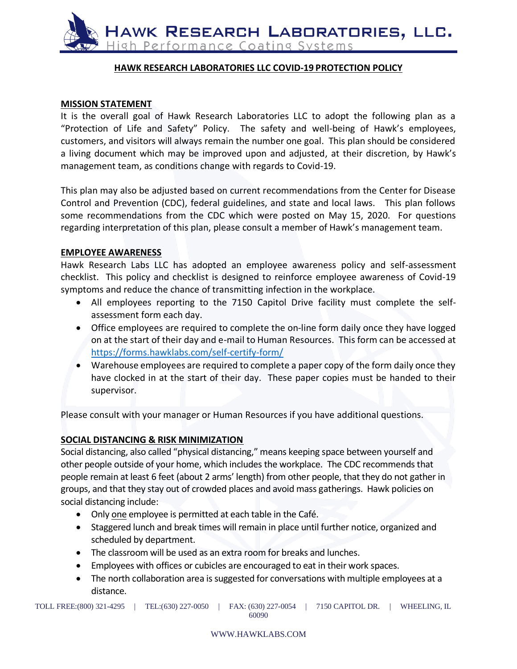

## **HAWK RESEARCH LABORATORIES LLC COVID‐19 PROTECTION POLICY**

### **MISSION STATEMENT**

It is the overall goal of Hawk Research Laboratories LLC to adopt the following plan as a "Protection of Life and Safety" Policy. The safety and well-being of Hawk's employees, customers, and visitors will always remain the number one goal. This plan should be considered a living document which may be improved upon and adjusted, at their discretion, by Hawk's management team, as conditions change with regards to Covid-19.

This plan may also be adjusted based on current recommendations from the Center for Disease Control and Prevention (CDC), federal guidelines, and state and local laws. This plan follows some recommendations from the CDC which were posted on May 15, 2020. For questions regarding interpretation of this plan, please consult a member of Hawk's management team.

### **EMPLOYEE AWARENESS**

Hawk Research Labs LLC has adopted an employee awareness policy and self-assessment checklist. This policy and checklist is designed to reinforce employee awareness of Covid-19 symptoms and reduce the chance of transmitting infection in the workplace.

- All employees reporting to the 7150 Capitol Drive facility must complete the selfassessment form each day.
- Office employees are required to complete the on-line form daily once they have logged on at the start of their day and e-mail to Human Resources. This form can be accessed at <https://forms.hawklabs.com/self-certify-form/>
- Warehouse employees are required to complete a paper copy of the form daily once they have clocked in at the start of their day. These paper copies must be handed to their supervisor.

Please consult with your manager or Human Resources if you have additional questions.

### **SOCIAL DISTANCING & RISK MINIMIZATION**

Social distancing, also called "physical distancing," means keeping space between yourself and other people outside of your home, which includes the workplace. The CDC recommends that people remain at least 6 feet (about 2 arms' length) from other people, that they do not gather in groups, and that they stay out of crowded places and avoid mass gatherings. Hawk policies on social distancing include:

- Only one employee is permitted at each table in the Café.
- Staggered lunch and break times will remain in place until further notice, organized and scheduled by department.
- The classroom will be used as an extra room for breaks and lunches.
- Employees with offices or cubicles are encouraged to eat in their work spaces.
- The north collaboration area is suggested for conversations with multiple employees at a distance.

TOLL FREE:(800) 321-4295 | TEL:(630) 227-0050 | FAX: (630) 227-0054 | 7150 CAPITOL DR. | WHEELING, IL 60090

#### WWW.HAWKLABS.COM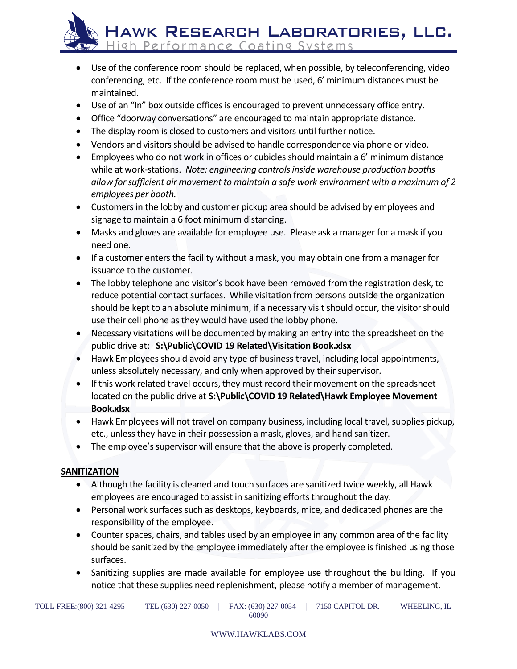HAWK RESEARCH LABORATORIES, LLC. High Performance Coating Systems

- Use of the conference room should be replaced, when possible, by teleconferencing, video conferencing, etc. If the conference room must be used, 6' minimum distances must be maintained.
- Use of an "In" box outside offices is encouraged to prevent unnecessary office entry.
- Office "doorway conversations" are encouraged to maintain appropriate distance.
- The display room is closed to customers and visitors until further notice.
- Vendors and visitors should be advised to handle correspondence via phone or video.
- Employees who do not work in offices or cubicles should maintain a 6' minimum distance while at work-stations. *Note: engineering controls inside warehouse production booths allow for sufficient air movement to maintain a safe work environment with a maximum of 2 employees per booth.*
- Customers in the lobby and customer pickup area should be advised by employees and signage to maintain a 6 foot minimum distancing.
- Masks and gloves are available for employee use. Please ask a manager for a mask if you need one.
- If a customer enters the facility without a mask, you may obtain one from a manager for issuance to the customer.
- The lobby telephone and visitor's book have been removed from the registration desk, to reduce potential contact surfaces. While visitation from persons outside the organization should be kept to an absolute minimum, if a necessary visit should occur, the visitor should use their cell phone as they would have used the lobby phone.
- Necessary visitations will be documented by making an entry into the spreadsheet on the public drive at: **S:\Public\COVID 19 Related\Visitation Book.xlsx**
- Hawk Employees should avoid any type of business travel, including local appointments, unless absolutely necessary, and only when approved by their supervisor.
- If this work related travel occurs, they must record their movement on the spreadsheet located on the public drive at **S:\Public\COVID 19 Related\Hawk Employee Movement Book.xlsx**
- Hawk Employees will not travel on company business, including local travel, supplies pickup, etc., unless they have in their possession a mask, gloves, and hand sanitizer.
- The employee's supervisor will ensure that the above is properly completed.

# **SANITIZATION**

- Although the facility is cleaned and touch surfaces are sanitized twice weekly, all Hawk employees are encouraged to assist in sanitizing efforts throughout the day.
- Personal work surfaces such as desktops, keyboards, mice, and dedicated phones are the responsibility of the employee.
- Counter spaces, chairs, and tables used by an employee in any common area of the facility should be sanitized by the employee immediately after the employee is finished using those surfaces.
- Sanitizing supplies are made available for employee use throughout the building. If you notice that these supplies need replenishment, please notify a member of management.